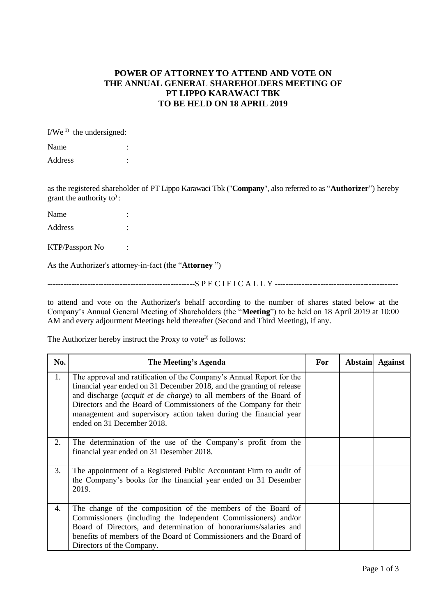## **POWER OF ATTORNEY TO ATTEND AND VOTE ON THE ANNUAL GENERAL SHAREHOLDERS MEETING OF PT LIPPO KARAWACI TBK TO BE HELD ON 18 APRIL 2019**

 $I/We^{1}$  the undersigned:

| Name    |  |
|---------|--|
| Address |  |

as the registered shareholder of PT Lippo Karawaci Tbk ("**Company**", also referred to as "**Authorizer**") hereby grant the authority to) :

| Name    | ٠ |
|---------|---|
| Address | ٠ |

KTP/Passport No :

As the Authorizer's attorney-in-fact (the "**Attorney** ")

-------------------------------------------------------S P E C I F I C A L L Y ----------------------------------------------

to attend and vote on the Authorizer's behalf according to the number of shares stated below at the Company's Annual General Meeting of Shareholders (the "**Meeting**") to be held on 18 April 2019 at 10:00 AM and every adjourment Meetings held thereafter (Second and Third Meeting), if any.

The Authorizer hereby instruct the Proxy to vote<sup>3)</sup> as follows:

| No. | The Meeting's Agenda                                                                                                                                                                                                                                                                                                                                                                        | For | <b>Abstain</b> | <b>Against</b> |
|-----|---------------------------------------------------------------------------------------------------------------------------------------------------------------------------------------------------------------------------------------------------------------------------------------------------------------------------------------------------------------------------------------------|-----|----------------|----------------|
| 1.  | The approval and ratification of the Company's Annual Report for the<br>financial year ended on 31 December 2018, and the granting of release<br>and discharge (acquit et de charge) to all members of the Board of<br>Directors and the Board of Commissioners of the Company for their<br>management and supervisory action taken during the financial year<br>ended on 31 December 2018. |     |                |                |
| 2.  | The determination of the use of the Company's profit from the<br>financial year ended on 31 Desember 2018.                                                                                                                                                                                                                                                                                  |     |                |                |
| 3.  | The appointment of a Registered Public Accountant Firm to audit of<br>the Company's books for the financial year ended on 31 Desember<br>2019.                                                                                                                                                                                                                                              |     |                |                |
| 4.  | The change of the composition of the members of the Board of<br>Commissioners (including the Independent Commissioners) and/or<br>Board of Directors, and determination of honorariums/salaries and<br>benefits of members of the Board of Commissioners and the Board of<br>Directors of the Company.                                                                                      |     |                |                |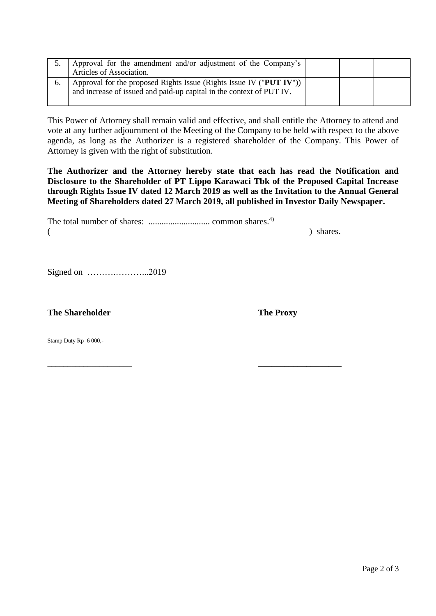| Approval for the amendment and/or adjustment of the Company's<br>Articles of Association.                                                           |  |  |
|-----------------------------------------------------------------------------------------------------------------------------------------------------|--|--|
| Approval for the proposed Rights Issue (Rights Issue IV ("PUT IV")) $\vert$<br>and increase of issued and paid-up capital in the context of PUT IV. |  |  |

This Power of Attorney shall remain valid and effective, and shall entitle the Attorney to attend and vote at any further adjournment of the Meeting of the Company to be held with respect to the above agenda, as long as the Authorizer is a registered shareholder of the Company. This Power of Attorney is given with the right of substitution.

**The Authorizer and the Attorney hereby state that each has read the Notification and Disclosure to the Shareholder of PT Lippo Karawaci Tbk of the Proposed Capital Increase through Rights Issue IV dated 12 March 2019 as well as the Invitation to the Annual General Meeting of Shareholders dated 27 March 2019, all published in Investor Daily Newspaper.**

|  | ) shares. |
|--|-----------|

Signed on ……….………...2019

**The Shareholder The Proxy** 

Stamp Duty Rp 6 000,-

\_\_\_\_\_\_\_\_\_\_\_\_\_\_\_\_\_\_\_\_\_ \_\_\_\_\_\_\_\_\_\_\_\_\_\_\_\_\_\_\_